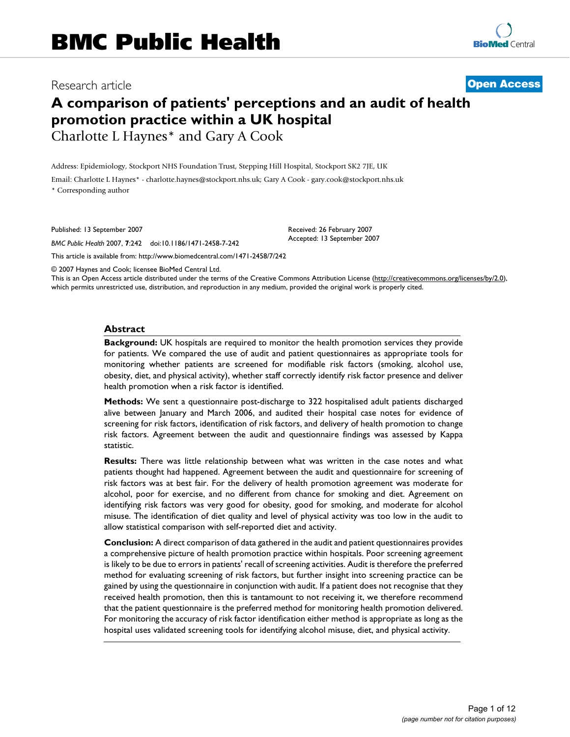# Research article **[Open Access](http://www.biomedcentral.com/info/about/charter/)**

# **A comparison of patients' perceptions and an audit of health promotion practice within a UK hospital** Charlotte L Haynes\* and Gary A Cook

Address: Epidemiology, Stockport NHS Foundation Trust, Stepping Hill Hospital, Stockport SK2 7JE, UK Email: Charlotte L Haynes\* - charlotte.haynes@stockport.nhs.uk; Gary A Cook - gary.cook@stockport.nhs.uk \* Corresponding author

Published: 13 September 2007

*BMC Public Health* 2007, **7**:242 doi:10.1186/1471-2458-7-242

[This article is available from: http://www.biomedcentral.com/1471-2458/7/242](http://www.biomedcentral.com/1471-2458/7/242)

© 2007 Haynes and Cook; licensee BioMed Central Ltd.

This is an Open Access article distributed under the terms of the Creative Commons Attribution License [\(http://creativecommons.org/licenses/by/2.0\)](http://creativecommons.org/licenses/by/2.0), which permits unrestricted use, distribution, and reproduction in any medium, provided the original work is properly cited.

Received: 26 February 2007 Accepted: 13 September 2007

#### **Abstract**

**Background:** UK hospitals are required to monitor the health promotion services they provide for patients. We compared the use of audit and patient questionnaires as appropriate tools for monitoring whether patients are screened for modifiable risk factors (smoking, alcohol use, obesity, diet, and physical activity), whether staff correctly identify risk factor presence and deliver health promotion when a risk factor is identified.

**Methods:** We sent a questionnaire post-discharge to 322 hospitalised adult patients discharged alive between January and March 2006, and audited their hospital case notes for evidence of screening for risk factors, identification of risk factors, and delivery of health promotion to change risk factors. Agreement between the audit and questionnaire findings was assessed by Kappa statistic.

**Results:** There was little relationship between what was written in the case notes and what patients thought had happened. Agreement between the audit and questionnaire for screening of risk factors was at best fair. For the delivery of health promotion agreement was moderate for alcohol, poor for exercise, and no different from chance for smoking and diet. Agreement on identifying risk factors was very good for obesity, good for smoking, and moderate for alcohol misuse. The identification of diet quality and level of physical activity was too low in the audit to allow statistical comparison with self-reported diet and activity.

**Conclusion:** A direct comparison of data gathered in the audit and patient questionnaires provides a comprehensive picture of health promotion practice within hospitals. Poor screening agreement is likely to be due to errors in patients' recall of screening activities. Audit is therefore the preferred method for evaluating screening of risk factors, but further insight into screening practice can be gained by using the questionnaire in conjunction with audit. If a patient does not recognise that they received health promotion, then this is tantamount to not receiving it, we therefore recommend that the patient questionnaire is the preferred method for monitoring health promotion delivered. For monitoring the accuracy of risk factor identification either method is appropriate as long as the hospital uses validated screening tools for identifying alcohol misuse, diet, and physical activity.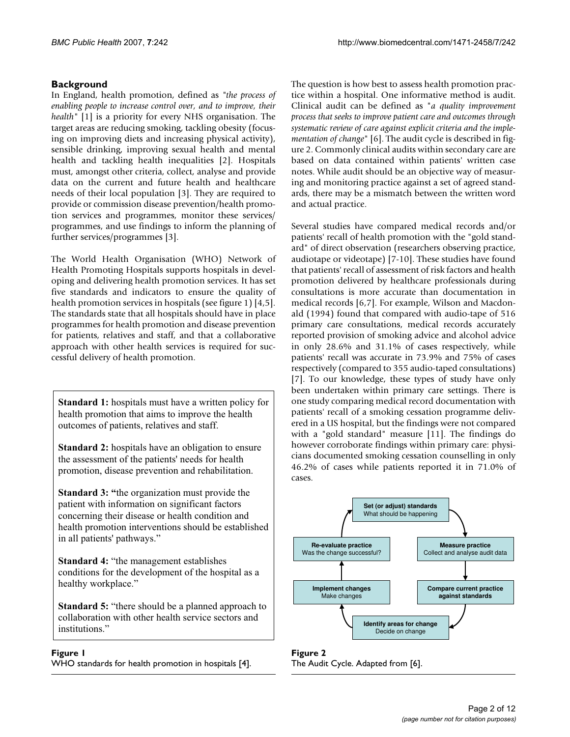# **Background**

In England, health promotion, defined as *"the process of enabling people to increase control over, and to improve, their health*" [1] is a priority for every NHS organisation. The target areas are reducing smoking, tackling obesity (focusing on improving diets and increasing physical activity), sensible drinking, improving sexual health and mental health and tackling health inequalities [2]. Hospitals must, amongst other criteria, collect, analyse and provide data on the current and future health and healthcare needs of their local population [3]. They are required to provide or commission disease prevention/health promotion services and programmes, monitor these services/ programmes, and use findings to inform the planning of further services/programmes [3].

The World Health Organisation (WHO) Network of Health Promoting Hospitals supports hospitals in developing and delivering health promotion services. It has set five standards and indicators to ensure the quality of health promotion services in hospitals (see figure 1) [4,5]. The standards state that all hospitals should have in place programmes for health promotion and disease prevention for patients, relatives and staff, and that a collaborative approach with other health services is required for successful delivery of health promotion.

**Standard 1:** hospitals must have a written policy for health promotion that aims to improve the health outcomes of patients, relatives and staff.

**Standard 2:** hospitals have an obligation to ensure the assessment of the patients' needs for health promotion, disease prevention and rehabilitation.

**Standard 3: "**the organization must provide the patient with information on significant factors concerning their disease or health condition and health promotion interventions should be established in all patients' pathways."

**Standard 4:** "the management establishes" conditions for the development of the hospital as a healthy workplace."

**Standard 5:** "there should be a planned approach to collaboration with other health service sectors and institutions."

# **Figure 1**

WHO standards for health promotion in hospitals [4].

The question is how best to assess health promotion practice within a hospital. One informative method is audit. Clinical audit can be defined as "*a quality improvement process that seeks to improve patient care and outcomes through systematic review of care against explicit criteria and the implementation of change*" [6]. The audit cycle is described in figure 2. Commonly clinical audits within secondary care are based on data contained within patients' written case notes. While audit should be an objective way of measuring and monitoring practice against a set of agreed standards, there may be a mismatch between the written word and actual practice.

Several studies have compared medical records and/or patients' recall of health promotion with the "gold standard" of direct observation (researchers observing practice, audiotape or videotape) [7-10]. These studies have found that patients' recall of assessment of risk factors and health promotion delivered by healthcare professionals during consultations is more accurate than documentation in medical records [6,7]. For example, Wilson and Macdonald (1994) found that compared with audio-tape of 516 primary care consultations, medical records accurately reported provision of smoking advice and alcohol advice in only 28.6% and 31.1% of cases respectively, while patients' recall was accurate in 73.9% and 75% of cases respectively (compared to 355 audio-taped consultations) [7]. To our knowledge, these types of study have only been undertaken within primary care settings. There is one study comparing medical record documentation with patients' recall of a smoking cessation programme delivered in a US hospital, but the findings were not compared with a "gold standard" measure [11]. The findings do however corroborate findings within primary care: physicians documented smoking cessation counselling in only 46.2% of cases while patients reported it in 71.0% of cases.



**Figure 2** The Audit Cycle. Adapted from [6].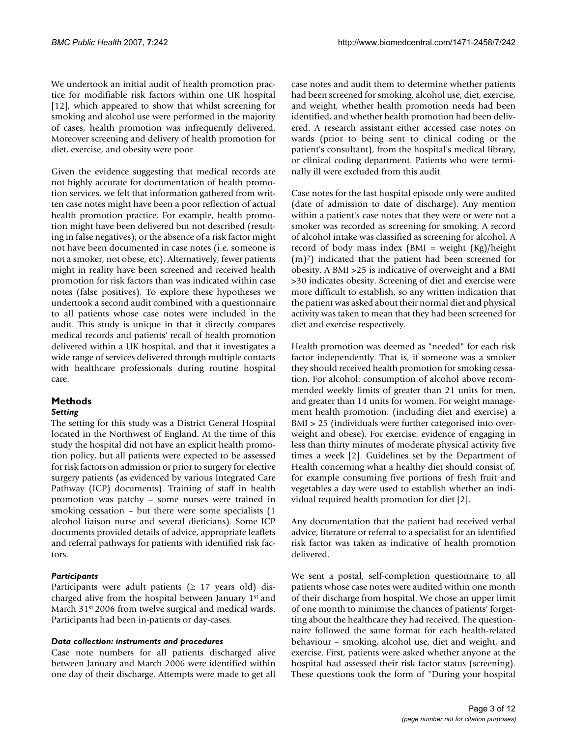We undertook an initial audit of health promotion practice for modifiable risk factors within one UK hospital [12], which appeared to show that whilst screening for smoking and alcohol use were performed in the majority of cases, health promotion was infrequently delivered. Moreover screening and delivery of health promotion for diet, exercise, and obesity were poor.

Given the evidence suggesting that medical records are not highly accurate for documentation of health promotion services, we felt that information gathered from written case notes might have been a poor reflection of actual health promotion practice. For example, health promotion might have been delivered but not described (resulting in false negatives); or the absence of a risk factor might not have been documented in case notes (i.e. someone is not a smoker, not obese, etc). Alternatively, fewer patients might in reality have been screened and received health promotion for risk factors than was indicated within case notes (false positives). To explore these hypotheses we undertook a second audit combined with a questionnaire to all patients whose case notes were included in the audit. This study is unique in that it directly compares medical records and patients' recall of health promotion delivered within a UK hospital, and that it investigates a wide range of services delivered through multiple contacts with healthcare professionals during routine hospital care.

# **Methods**

### *Setting*

The setting for this study was a District General Hospital located in the Northwest of England. At the time of this study the hospital did not have an explicit health promotion policy, but all patients were expected to be assessed for risk factors on admission or prior to surgery for elective surgery patients (as evidenced by various Integrated Care Pathway (ICP) documents). Training of staff in health promotion was patchy – some nurses were trained in smoking cessation – but there were some specialists (1 alcohol liaison nurse and several dieticians). Some ICP documents provided details of advice, appropriate leaflets and referral pathways for patients with identified risk factors.

### *Participants*

Participants were adult patients ( $\geq$  17 years old) discharged alive from the hospital between January 1st and March 31st 2006 from twelve surgical and medical wards. Participants had been in-patients or day-cases.

### *Data collection: instruments and procedures*

Case note numbers for all patients discharged alive between January and March 2006 were identified within one day of their discharge. Attempts were made to get all

case notes and audit them to determine whether patients had been screened for smoking, alcohol use, diet, exercise, and weight, whether health promotion needs had been identified, and whether health promotion had been delivered. A research assistant either accessed case notes on wards (prior to being sent to clinical coding or the patient's consultant), from the hospital's medical library, or clinical coding department. Patients who were terminally ill were excluded from this audit.

Case notes for the last hospital episode only were audited (date of admission to date of discharge). Any mention within a patient's case notes that they were or were not a smoker was recorded as screening for smoking. A record of alcohol intake was classified as screening for alcohol. A record of body mass index  $(BMI = weight (Kg)/height$ (m)2) indicated that the patient had been screened for obesity. A BMI >25 is indicative of overweight and a BMI >30 indicates obesity. Screening of diet and exercise were more difficult to establish, so any written indication that the patient was asked about their normal diet and physical activity was taken to mean that they had been screened for diet and exercise respectively.

Health promotion was deemed as "needed" for each risk factor independently. That is, if someone was a smoker they should received health promotion for smoking cessation. For alcohol: consumption of alcohol above recommended weekly limits of greater than 21 units for men, and greater than 14 units for women. For weight management health promotion: (including diet and exercise) a BMI > 25 (individuals were further categorised into overweight and obese). For exercise: evidence of engaging in less than thirty minutes of moderate physical activity five times a week [2]. Guidelines set by the Department of Health concerning what a healthy diet should consist of, for example consuming five portions of fresh fruit and vegetables a day were used to establish whether an individual required health promotion for diet [2].

Any documentation that the patient had received verbal advice, literature or referral to a specialist for an identified risk factor was taken as indicative of health promotion delivered.

We sent a postal, self-completion questionnaire to all patients whose case notes were audited within one month of their discharge from hospital. We chose an upper limit of one month to minimise the chances of patients' forgetting about the healthcare they had received. The questionnaire followed the same format for each health-related behaviour – smoking, alcohol use, diet and weight, and exercise. First, patients were asked whether anyone at the hospital had assessed their risk factor status (screening). These questions took the form of "During your hospital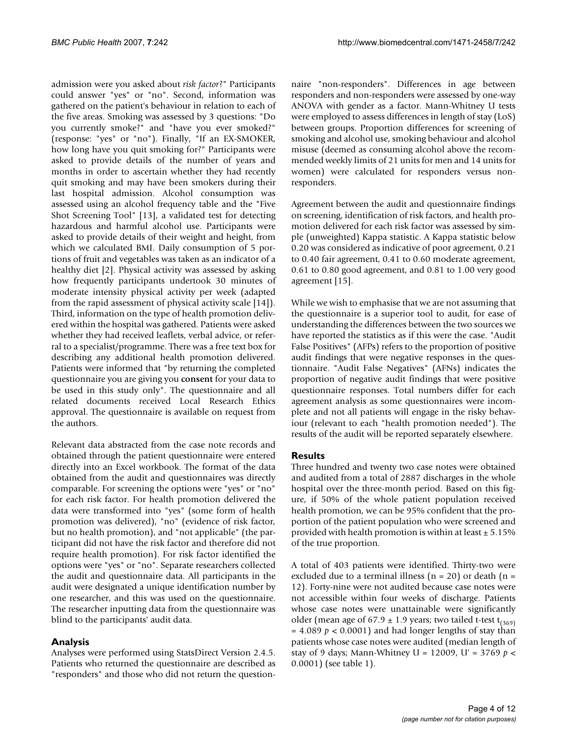admission were you asked about *risk factor*?" Participants could answer "yes" or "no". Second, information was gathered on the patient's behaviour in relation to each of the five areas. Smoking was assessed by 3 questions: "Do you currently smoke?" and "have you ever smoked?" (response: "yes" or "no"). Finally, "If an EX-SMOKER, how long have you quit smoking for?" Participants were asked to provide details of the number of years and months in order to ascertain whether they had recently quit smoking and may have been smokers during their last hospital admission. Alcohol consumption was assessed using an alcohol frequency table and the "Five Shot Screening Tool" [13], a validated test for detecting hazardous and harmful alcohol use. Participants were asked to provide details of their weight and height, from which we calculated BMI. Daily consumption of 5 portions of fruit and vegetables was taken as an indicator of a healthy diet [2]. Physical activity was assessed by asking how frequently participants undertook 30 minutes of moderate intensity physical activity per week (adapted from the rapid assessment of physical activity scale [14]). Third, information on the type of health promotion delivered within the hospital was gathered. Patients were asked whether they had received leaflets, verbal advice, or referral to a specialist/programme. There was a free text box for describing any additional health promotion delivered. Patients were informed that "by returning the completed questionnaire you are giving you **consent** for your data to be used in this study only". The questionnaire and all related documents received Local Research Ethics approval. The questionnaire is available on request from the authors.

Relevant data abstracted from the case note records and obtained through the patient questionnaire were entered directly into an Excel workbook. The format of the data obtained from the audit and questionnaires was directly comparable. For screening the options were "yes" or "no" for each risk factor. For health promotion delivered the data were transformed into "yes" (some form of health promotion was delivered), "no" (evidence of risk factor, but no health promotion), and "not applicable" (the participant did not have the risk factor and therefore did not require health promotion). For risk factor identified the options were "yes" or "no". Separate researchers collected the audit and questionnaire data. All participants in the audit were designated a unique identification number by one researcher, and this was used on the questionnaire. The researcher inputting data from the questionnaire was blind to the participants' audit data.

# **Analysis**

Analyses were performed using StatsDirect Version 2.4.5. Patients who returned the questionnaire are described as "responders" and those who did not return the questionnaire "non-responders". Differences in age between responders and non-responders were assessed by one-way ANOVA with gender as a factor. Mann-Whitney U tests were employed to assess differences in length of stay (LoS) between groups. Proportion differences for screening of smoking and alcohol use, smoking behaviour and alcohol misuse (deemed as consuming alcohol above the recommended weekly limits of 21 units for men and 14 units for women) were calculated for responders versus nonresponders.

Agreement between the audit and questionnaire findings on screening, identification of risk factors, and health promotion delivered for each risk factor was assessed by simple (unweighted) Kappa statistic. A Kappa statistic below 0.20 was considered as indicative of poor agreement, 0.21 to 0.40 fair agreement, 0.41 to 0.60 moderate agreement, 0.61 to 0.80 good agreement, and 0.81 to 1.00 very good agreement [15].

While we wish to emphasise that we are not assuming that the questionnaire is a superior tool to audit, for ease of understanding the differences between the two sources we have reported the statistics as if this were the case. "Audit False Positives" (AFPs) refers to the proportion of positive audit findings that were negative responses in the questionnaire. "Audit False Negatives" (AFNs) indicates the proportion of negative audit findings that were positive questionnaire responses. Total numbers differ for each agreement analysis as some questionnaires were incomplete and not all patients will engage in the risky behaviour (relevant to each "health promotion needed"). The results of the audit will be reported separately elsewhere.

# **Results**

Three hundred and twenty two case notes were obtained and audited from a total of 2887 discharges in the whole hospital over the three-month period. Based on this figure, if 50% of the whole patient population received health promotion, we can be 95% confident that the proportion of the patient population who were screened and provided with health promotion is within at least  $\pm$  5.15% of the true proportion.

A total of 403 patients were identified. Thirty-two were excluded due to a terminal illness ( $n = 20$ ) or death ( $n =$ 12). Forty-nine were not audited because case notes were not accessible within four weeks of discharge. Patients whose case notes were unattainable were significantly older (mean age of 67.9  $\pm$  1.9 years; two tailed t-test t<sub>(369)</sub>  $= 4.089$   $p < 0.0001$  and had longer lengths of stay than patients whose case notes were audited (median length of stay of 9 days; Mann-Whitney U = 12009, U' = 3769 *p* < 0.0001) (see table 1).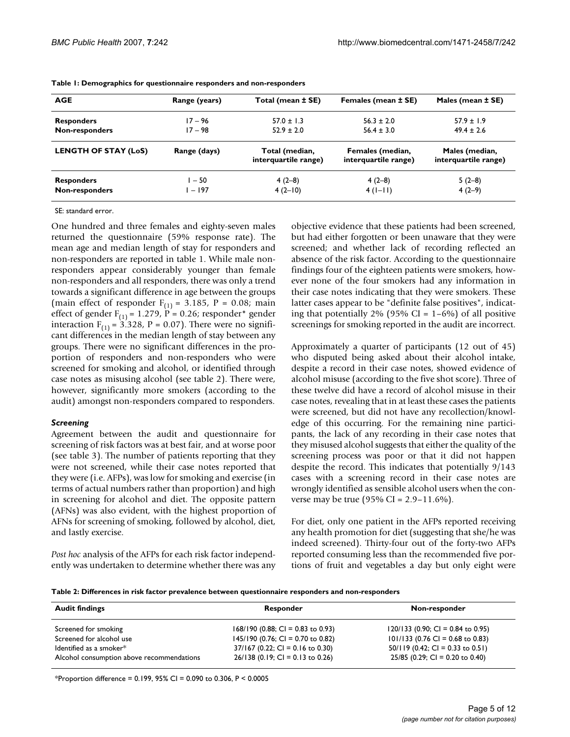| <b>AGE</b>                  | Range (years) | Total (mean ± SE)                      | Females (mean ± SE)                      | Males (mean ± SE)                      |
|-----------------------------|---------------|----------------------------------------|------------------------------------------|----------------------------------------|
| <b>Responders</b>           | $17 - 96$     | $57.0 \pm 1.3$                         | $56.3 \pm 2.0$                           | $57.9 \pm 1.9$                         |
| <b>Non-responders</b>       | $17 - 98$     | $52.9 \pm 2.0$                         | $56.4 \pm 3.0$                           | $49.4 \pm 2.6$                         |
| <b>LENGTH OF STAY (LoS)</b> | Range (days)  | Total (median,<br>interguartile range) | Females (median,<br>interguartile range) | Males (median,<br>interguartile range) |
| <b>Responders</b>           | $-50$         | $4(2-8)$                               | $4(2-8)$                                 | $5(2-8)$                               |
| <b>Non-responders</b>       | l – 197       | $4(2-10)$                              | $4 (I-II)$                               | $4(2-9)$                               |

|  | Table 1: Demographics for questionnaire responders and non-responders |  |
|--|-----------------------------------------------------------------------|--|
|  |                                                                       |  |

SE: standard error.

One hundred and three females and eighty-seven males returned the questionnaire (59% response rate). The mean age and median length of stay for responders and non-responders are reported in table 1. While male nonresponders appear considerably younger than female non-responders and all responders, there was only a trend towards a significant difference in age between the groups (main effect of responder  $F_{(1)} = 3.185$ ,  $P = 0.08$ ; main effect of gender  $F_{(1)} = 1.279$ ,  $P = 0.26$ ; responder\* gender interaction  $F_{(1)} = 3.328$ , P = 0.07). There were no significant differences in the median length of stay between any groups. There were no significant differences in the proportion of responders and non-responders who were screened for smoking and alcohol, or identified through case notes as misusing alcohol (see table 2). There were, however, significantly more smokers (according to the audit) amongst non-responders compared to responders.

### *Screening*

Agreement between the audit and questionnaire for screening of risk factors was at best fair, and at worse poor (see table 3). The number of patients reporting that they were not screened, while their case notes reported that they were (i.e. AFPs), was low for smoking and exercise (in terms of actual numbers rather than proportion) and high in screening for alcohol and diet. The opposite pattern (AFNs) was also evident, with the highest proportion of AFNs for screening of smoking, followed by alcohol, diet, and lastly exercise.

*Post hoc* analysis of the AFPs for each risk factor independently was undertaken to determine whether there was any objective evidence that these patients had been screened, but had either forgotten or been unaware that they were screened; and whether lack of recording reflected an absence of the risk factor. According to the questionnaire findings four of the eighteen patients were smokers, however none of the four smokers had any information in their case notes indicating that they were smokers. These latter cases appear to be "definite false positives", indicating that potentially 2% (95% CI =  $1-6\%$ ) of all positive screenings for smoking reported in the audit are incorrect.

Approximately a quarter of participants (12 out of 45) who disputed being asked about their alcohol intake, despite a record in their case notes, showed evidence of alcohol misuse (according to the five shot score). Three of these twelve did have a record of alcohol misuse in their case notes, revealing that in at least these cases the patients were screened, but did not have any recollection/knowledge of this occurring. For the remaining nine participants, the lack of any recording in their case notes that they misused alcohol suggests that either the quality of the screening process was poor or that it did not happen despite the record. This indicates that potentially 9/143 cases with a screening record in their case notes are wrongly identified as sensible alcohol users when the converse may be true (95% CI = 2.9–11.6%).

For diet, only one patient in the AFPs reported receiving any health promotion for diet (suggesting that she/he was indeed screened). Thirty-four out of the forty-two AFPs reported consuming less than the recommended five portions of fruit and vegetables a day but only eight were

| Table 2: Differences in risk factor prevalence between questionnaire responders and non-responders |  |  |
|----------------------------------------------------------------------------------------------------|--|--|
|                                                                                                    |  |  |

| <b>Audit findings</b>                     | Responder                           | Non-responder                       |  |  |
|-------------------------------------------|-------------------------------------|-------------------------------------|--|--|
| Screened for smoking                      | $168/190$ (0.88; CI = 0.83 to 0.93) | $120/133$ (0.90; CI = 0.84 to 0.95) |  |  |
| Screened for alcohol use                  | $145/190$ (0.76; CI = 0.70 to 0.82) | $101/133$ (0.76 CI = 0.68 to 0.83)  |  |  |
| Identified as a smoker $*$                | $37/167$ (0.22; CI = 0.16 to 0.30)  | $50/119$ (0.42; CI = 0.33 to 0.51)  |  |  |
| Alcohol consumption above recommendations | $26/138$ (0.19; CI = 0.13 to 0.26)  | $25/85$ (0.29; CI = 0.20 to 0.40)   |  |  |

\*Proportion difference = 0.199, 95% CI = 0.090 to 0.306, P < 0.0005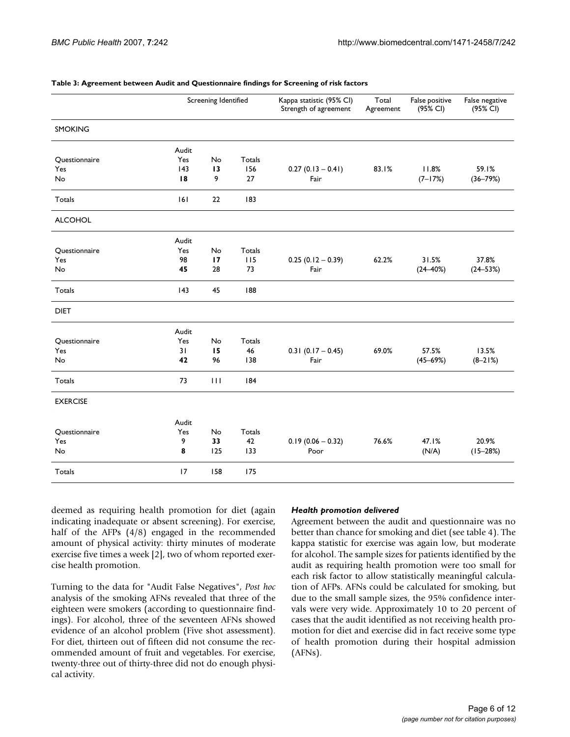|                 |       | Screening Identified |        | Kappa statistic (95% CI)<br>Strength of agreement | Total<br>Agreement | False positive<br>$(95\%$ CI) | False negative<br>$(95\% \bar{C})$ |
|-----------------|-------|----------------------|--------|---------------------------------------------------|--------------------|-------------------------------|------------------------------------|
| <b>SMOKING</b>  |       |                      |        |                                                   |                    |                               |                                    |
|                 | Audit |                      |        |                                                   |                    |                               |                                    |
| Questionnaire   | Yes   | No                   | Totals |                                                   |                    |                               |                                    |
| Yes             | 143   | 13                   | 156    | $0.27(0.13 - 0.41)$                               | 83.1%              | 11.8%                         | 59.1%                              |
| No              | 18    | 9                    | 27     | Fair                                              |                    | $(7 - 17%)$                   | $(36 - 79%)$                       |
| Totals          | 6     | 22                   | 183    |                                                   |                    |                               |                                    |
| <b>ALCOHOL</b>  |       |                      |        |                                                   |                    |                               |                                    |
|                 | Audit |                      |        |                                                   |                    |                               |                                    |
| Questionnaire   | Yes   | No                   | Totals |                                                   |                    |                               |                                    |
| Yes             | 98    | 17                   | 115    | $0.25(0.12 - 0.39)$                               | 62.2%              | 31.5%                         | 37.8%                              |
| No              | 45    | 28                   | 73     | Fair                                              |                    | $(24 - 40%)$                  | $(24 - 53%)$                       |
| Totals          | 43    | 45                   | 188    |                                                   |                    |                               |                                    |
| <b>DIET</b>     |       |                      |        |                                                   |                    |                               |                                    |
|                 | Audit |                      |        |                                                   |                    |                               |                                    |
| Questionnaire   | Yes   | No                   | Totals |                                                   |                    |                               |                                    |
| Yes             | 31    | 15                   | 46     | $0.31(0.17 - 0.45)$                               | 69.0%              | 57.5%                         | 13.5%                              |
| No              | 42    | 96                   | 138    | Fair                                              |                    | $(45 - 69%)$                  | $(8-21%)$                          |
| Totals          | 73    | $\mathbf{III}$       | 184    |                                                   |                    |                               |                                    |
| <b>EXERCISE</b> |       |                      |        |                                                   |                    |                               |                                    |
|                 | Audit |                      |        |                                                   |                    |                               |                                    |
| Questionnaire   | Yes   | No                   | Totals |                                                   |                    |                               |                                    |
| Yes             | 9     | 33                   | 42     | $0.19(0.06 - 0.32)$                               | 76.6%              | 47.1%                         | 20.9%                              |
| No              | 8     | 125                  | 133    | Poor                                              |                    | (N/A)                         | $(15 - 28%)$                       |
| Totals          | 17    | 158                  | 175    |                                                   |                    |                               |                                    |

#### **Table 3: Agreement between Audit and Questionnaire findings for Screening of risk factors**

deemed as requiring health promotion for diet (again indicating inadequate or absent screening). For exercise, half of the AFPs (4/8) engaged in the recommended amount of physical activity: thirty minutes of moderate exercise five times a week [2], two of whom reported exercise health promotion.

Turning to the data for "Audit False Negatives", *Post hoc* analysis of the smoking AFNs revealed that three of the eighteen were smokers (according to questionnaire findings). For alcohol, three of the seventeen AFNs showed evidence of an alcohol problem (Five shot assessment). For diet, thirteen out of fifteen did not consume the recommended amount of fruit and vegetables. For exercise, twenty-three out of thirty-three did not do enough physical activity.

### *Health promotion delivered*

Agreement between the audit and questionnaire was no better than chance for smoking and diet (see table 4). The kappa statistic for exercise was again low, but moderate for alcohol. The sample sizes for patients identified by the audit as requiring health promotion were too small for each risk factor to allow statistically meaningful calculation of AFPs. AFNs could be calculated for smoking, but due to the small sample sizes, the 95% confidence intervals were very wide. Approximately 10 to 20 percent of cases that the audit identified as not receiving health promotion for diet and exercise did in fact receive some type of health promotion during their hospital admission (AFNs).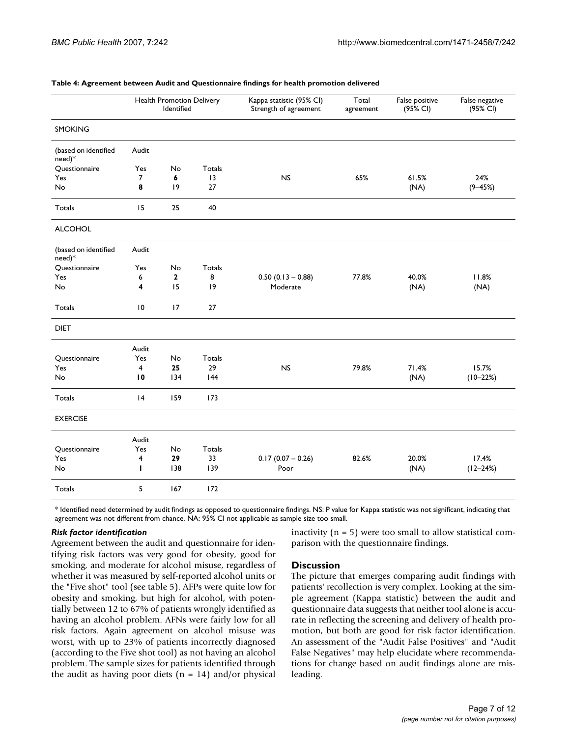|                                  | Health Promotion Delivery<br>Identified |             |        | Kappa statistic (95% CI)<br>Strength of agreement | Total<br>agreement | False positive<br>$(95\% \text{ Cl})$ | False negative<br>$(95\%$ CI) |
|----------------------------------|-----------------------------------------|-------------|--------|---------------------------------------------------|--------------------|---------------------------------------|-------------------------------|
| <b>SMOKING</b>                   |                                         |             |        |                                                   |                    |                                       |                               |
| (based on identified<br>$need)*$ | Audit                                   |             |        |                                                   |                    |                                       |                               |
| Questionnaire                    | Yes                                     | No          | Totals |                                                   |                    |                                       |                               |
| Yes                              | 7                                       | 6           | 3      | <b>NS</b>                                         | 65%                | 61.5%                                 | 24%                           |
| No                               | 8                                       | 9           | 27     |                                                   |                    | (NA)                                  | $(9 - 45%)$                   |
| Totals                           | 15                                      | 25          | 40     |                                                   |                    |                                       |                               |
| <b>ALCOHOL</b>                   |                                         |             |        |                                                   |                    |                                       |                               |
| (based on identified<br>need)*   | Audit                                   |             |        |                                                   |                    |                                       |                               |
| Questionnaire                    | Yes                                     | No          | Totals |                                                   |                    |                                       |                               |
| Yes                              | 6                                       | $\mathbf 2$ | 8      | $0.50(0.13 - 0.88)$                               | 77.8%              | 40.0%                                 | 11.8%                         |
| No                               | 4                                       | 15          | 9      | Moderate                                          |                    | (NA)                                  | (NA)                          |
| Totals                           | $\overline{10}$                         | 17          | 27     |                                                   |                    |                                       |                               |
| <b>DIET</b>                      |                                         |             |        |                                                   |                    |                                       |                               |
|                                  | Audit                                   |             |        |                                                   |                    |                                       |                               |
| Questionnaire                    | Yes                                     | No          | Totals |                                                   |                    |                                       |                               |
| Yes                              | 4                                       | 25          | 29     | <b>NS</b>                                         | 79.8%              | 71.4%                                 | 15.7%                         |
| No                               | 10                                      | 134         | 44     |                                                   |                    | (NA)                                  | $(10 - 22%)$                  |
| Totals                           | 4                                       | 159         | 173    |                                                   |                    |                                       |                               |
| <b>EXERCISE</b>                  |                                         |             |        |                                                   |                    |                                       |                               |
|                                  | Audit                                   |             |        |                                                   |                    |                                       |                               |
| Questionnaire                    | Yes                                     | No          | Totals |                                                   |                    |                                       |                               |
| Yes                              | 4                                       | 29          | 33     | $0.17(0.07 - 0.26)$                               | 82.6%              | 20.0%                                 | 17.4%                         |
| No                               | $\mathbf{I}$                            | 138         | 139    | Poor                                              |                    | (NA)                                  | $(12 - 24%)$                  |
| Totals                           | 5                                       | 167         | 172    |                                                   |                    |                                       |                               |

#### **Table 4: Agreement between Audit and Questionnaire findings for health promotion delivered**

\* Identified need determined by audit findings as opposed to questionnaire findings. NS: P value for Kappa statistic was not significant, indicating that agreement was not different from chance. NA: 95% CI not applicable as sample size too small.

### *Risk factor identification*

Agreement between the audit and questionnaire for identifying risk factors was very good for obesity, good for smoking, and moderate for alcohol misuse, regardless of whether it was measured by self-reported alcohol units or the "Five shot" tool (see table 5). AFPs were quite low for obesity and smoking, but high for alcohol, with potentially between 12 to 67% of patients wrongly identified as having an alcohol problem. AFNs were fairly low for all risk factors. Again agreement on alcohol misuse was worst, with up to 23% of patients incorrectly diagnosed (according to the Five shot tool) as not having an alcohol problem. The sample sizes for patients identified through the audit as having poor diets  $(n = 14)$  and/or physical

inactivity  $(n = 5)$  were too small to allow statistical comparison with the questionnaire findings.

### **Discussion**

The picture that emerges comparing audit findings with patients' recollection is very complex. Looking at the simple agreement (Kappa statistic) between the audit and questionnaire data suggests that neither tool alone is accurate in reflecting the screening and delivery of health promotion, but both are good for risk factor identification. An assessment of the "Audit False Positives" and "Audit False Negatives" may help elucidate where recommendations for change based on audit findings alone are misleading.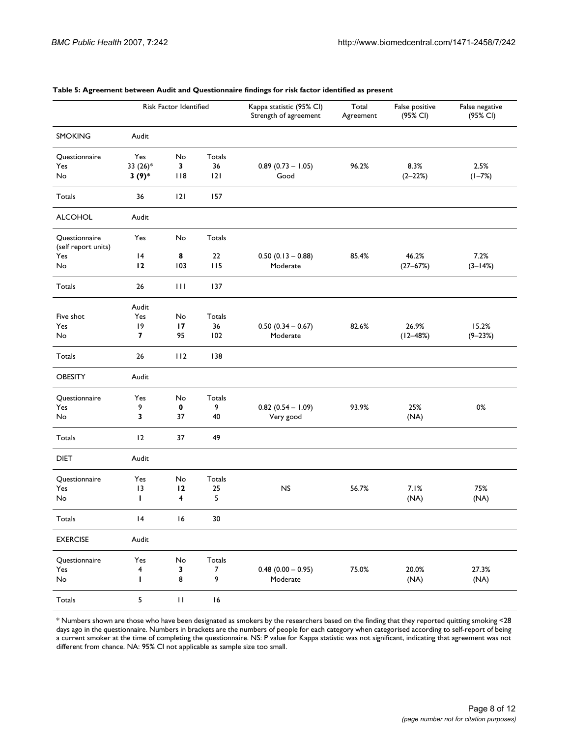|                                      |                         | Risk Factor Identified |        | Kappa statistic (95% CI)<br>Strength of agreement | Total<br>Agreement | False positive<br>(95% CI) | False negative<br>(95% CI) |
|--------------------------------------|-------------------------|------------------------|--------|---------------------------------------------------|--------------------|----------------------------|----------------------------|
| <b>SMOKING</b>                       | Audit                   |                        |        |                                                   |                    |                            |                            |
| Ouestionnaire                        | Yes                     | No                     | Totals |                                                   |                    |                            |                            |
| Yes                                  | 33 $(26)*$              | 3                      | 36     | $0.89(0.73 - 1.05)$                               | 96.2%              | 8.3%                       | 2.5%                       |
| No                                   | $3(9)*$                 | $ $ $ $ 8              | 2      | Good                                              |                    | $(2-22%)$                  | $(1 - 7%)$                 |
| Totals                               | 36                      | 2                      | 157    |                                                   |                    |                            |                            |
| <b>ALCOHOL</b>                       | Audit                   |                        |        |                                                   |                    |                            |                            |
| Questionnaire<br>(self report units) | Yes                     | No                     | Totals |                                                   |                    |                            |                            |
| Yes                                  | 4                       | 8                      | 22     | $0.50(0.13 - 0.88)$                               | 85.4%              | 46.2%                      | 7.2%                       |
| No                                   | 12                      | 103                    | 115    | Moderate                                          |                    | $(27 - 67%)$               | $(3-14%)$                  |
| Totals                               | 26                      | 111                    | 137    |                                                   |                    |                            |                            |
|                                      | Audit                   |                        |        |                                                   |                    |                            |                            |
| Five shot                            | Yes                     | No                     | Totals |                                                   |                    |                            |                            |
| Yes                                  | 9                       | 17                     | 36     | $0.50(0.34 - 0.67)$                               | 82.6%              | 26.9%                      | 15.2%                      |
| No                                   | $\overline{\mathbf{z}}$ | 95                     | 102    | Moderate                                          |                    | $(12 - 48%)$               | $(9 - 23%)$                |
| Totals                               | 26                      | 112                    | 138    |                                                   |                    |                            |                            |
| <b>OBESITY</b>                       | Audit                   |                        |        |                                                   |                    |                            |                            |
| Questionnaire                        | Yes                     | No                     | Totals |                                                   |                    |                            |                            |
| Yes                                  | 9                       | $\mathbf 0$            | 9      | $0.82$ (0.54 - 1.09)                              | 93.9%              | 25%                        | 0%                         |
| No                                   | 3                       | 37                     | 40     | Very good                                         |                    | (NA)                       |                            |
| Totals                               | 12                      | 37                     | 49     |                                                   |                    |                            |                            |
| <b>DIET</b>                          | Audit                   |                        |        |                                                   |                    |                            |                            |
| Questionnaire                        | Yes                     | No                     | Totals |                                                   |                    |                            |                            |
| Yes                                  | 13                      | 12                     | 25     | <b>NS</b>                                         | 56.7%              | 7.1%                       | 75%                        |
| No                                   | $\mathbf{I}$            | $\overline{4}$         | 5      |                                                   |                    | (NA)                       | (NA)                       |
| Totals                               | 4                       | 16                     | $30\,$ |                                                   |                    |                            |                            |
| <b>EXERCISE</b>                      | Audit                   |                        |        |                                                   |                    |                            |                            |
| Questionnaire                        | Yes                     | No                     | Totals |                                                   |                    |                            |                            |
| Yes                                  | 4                       | 3                      | 7      | $0.48(0.00 - 0.95)$                               | 75.0%              | 20.0%                      | 27.3%                      |
| No                                   | L                       | 8                      | 9      | Moderate                                          |                    | (NA)                       | (NA)                       |
| Totals                               | 5                       | $\mathbf{H}$           | 16     |                                                   |                    |                            |                            |

#### **Table 5: Agreement between Audit and Questionnaire findings for risk factor identified as present**

\* Numbers shown are those who have been designated as smokers by the researchers based on the finding that they reported quitting smoking <28 days ago in the questionnaire. Numbers in brackets are the numbers of people for each category when categorised according to self-report of being a current smoker at the time of completing the questionnaire. NS: P value for Kappa statistic was not significant, indicating that agreement was not different from chance. NA: 95% CI not applicable as sample size too small.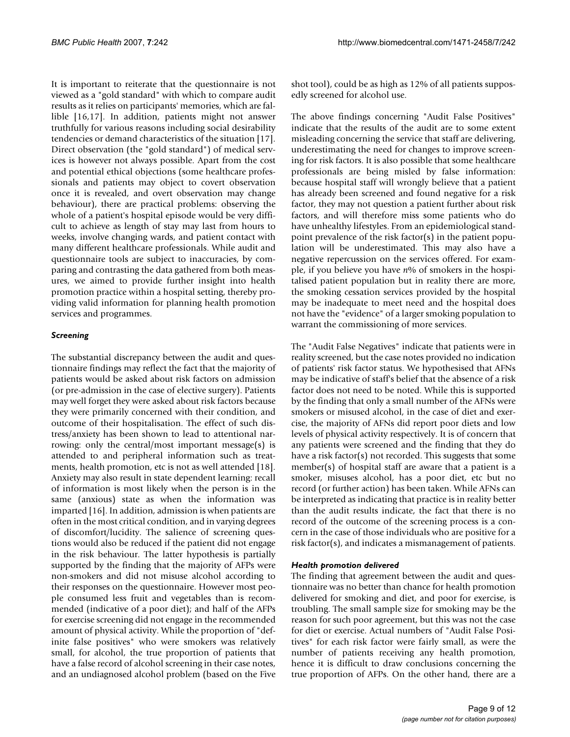It is important to reiterate that the questionnaire is not viewed as a "gold standard" with which to compare audit results as it relies on participants' memories, which are fallible [16,17]. In addition, patients might not answer truthfully for various reasons including social desirability tendencies or demand characteristics of the situation [17]. Direct observation (the "gold standard") of medical services is however not always possible. Apart from the cost and potential ethical objections (some healthcare professionals and patients may object to covert observation once it is revealed, and overt observation may change behaviour), there are practical problems: observing the whole of a patient's hospital episode would be very difficult to achieve as length of stay may last from hours to weeks, involve changing wards, and patient contact with many different healthcare professionals. While audit and questionnaire tools are subject to inaccuracies, by comparing and contrasting the data gathered from both measures, we aimed to provide further insight into health promotion practice within a hospital setting, thereby providing valid information for planning health promotion services and programmes.

### *Screening*

The substantial discrepancy between the audit and questionnaire findings may reflect the fact that the majority of patients would be asked about risk factors on admission (or pre-admission in the case of elective surgery). Patients may well forget they were asked about risk factors because they were primarily concerned with their condition, and outcome of their hospitalisation. The effect of such distress/anxiety has been shown to lead to attentional narrowing: only the central/most important message(s) is attended to and peripheral information such as treatments, health promotion, etc is not as well attended [18]. Anxiety may also result in state dependent learning: recall of information is most likely when the person is in the same (anxious) state as when the information was imparted [16]. In addition, admission is when patients are often in the most critical condition, and in varying degrees of discomfort/lucidity. The salience of screening questions would also be reduced if the patient did not engage in the risk behaviour. The latter hypothesis is partially supported by the finding that the majority of AFPs were non-smokers and did not misuse alcohol according to their responses on the questionnaire. However most people consumed less fruit and vegetables than is recommended (indicative of a poor diet); and half of the AFPs for exercise screening did not engage in the recommended amount of physical activity. While the proportion of "definite false positives" who were smokers was relatively small, for alcohol, the true proportion of patients that have a false record of alcohol screening in their case notes, and an undiagnosed alcohol problem (based on the Five

shot tool), could be as high as 12% of all patients supposedly screened for alcohol use.

The above findings concerning "Audit False Positives" indicate that the results of the audit are to some extent misleading concerning the service that staff are delivering, underestimating the need for changes to improve screening for risk factors. It is also possible that some healthcare professionals are being misled by false information: because hospital staff will wrongly believe that a patient has already been screened and found negative for a risk factor, they may not question a patient further about risk factors, and will therefore miss some patients who do have unhealthy lifestyles. From an epidemiological standpoint prevalence of the risk factor(s) in the patient population will be underestimated. This may also have a negative repercussion on the services offered. For example, if you believe you have *n*% of smokers in the hospitalised patient population but in reality there are more, the smoking cessation services provided by the hospital may be inadequate to meet need and the hospital does not have the "evidence" of a larger smoking population to warrant the commissioning of more services.

The "Audit False Negatives" indicate that patients were in reality screened, but the case notes provided no indication of patients' risk factor status. We hypothesised that AFNs may be indicative of staff's belief that the absence of a risk factor does not need to be noted. While this is supported by the finding that only a small number of the AFNs were smokers or misused alcohol, in the case of diet and exercise, the majority of AFNs did report poor diets and low levels of physical activity respectively. It is of concern that any patients were screened and the finding that they do have a risk factor(s) not recorded. This suggests that some member(s) of hospital staff are aware that a patient is a smoker, misuses alcohol, has a poor diet, etc but no record (or further action) has been taken. While AFNs can be interpreted as indicating that practice is in reality better than the audit results indicate, the fact that there is no record of the outcome of the screening process is a concern in the case of those individuals who are positive for a risk factor(s), and indicates a mismanagement of patients.

### *Health promotion delivered*

The finding that agreement between the audit and questionnaire was no better than chance for health promotion delivered for smoking and diet, and poor for exercise, is troubling. The small sample size for smoking may be the reason for such poor agreement, but this was not the case for diet or exercise. Actual numbers of "Audit False Positives" for each risk factor were fairly small, as were the number of patients receiving any health promotion, hence it is difficult to draw conclusions concerning the true proportion of AFPs. On the other hand, there are a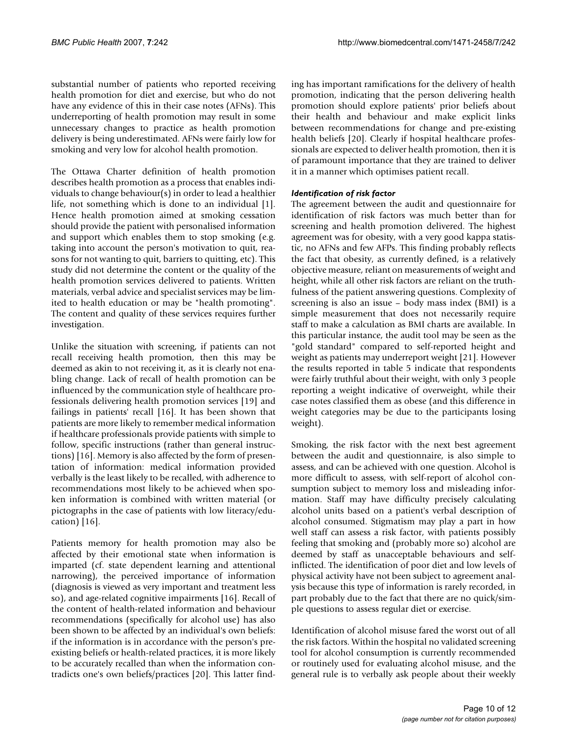substantial number of patients who reported receiving health promotion for diet and exercise, but who do not have any evidence of this in their case notes (AFNs). This underreporting of health promotion may result in some unnecessary changes to practice as health promotion delivery is being underestimated. AFNs were fairly low for smoking and very low for alcohol health promotion.

The Ottawa Charter definition of health promotion describes health promotion as a process that enables individuals to change behaviour(s) in order to lead a healthier life, not something which is done to an individual [1]. Hence health promotion aimed at smoking cessation should provide the patient with personalised information and support which enables them to stop smoking (e.g. taking into account the person's motivation to quit, reasons for not wanting to quit, barriers to quitting, etc). This study did not determine the content or the quality of the health promotion services delivered to patients. Written materials, verbal advice and specialist services may be limited to health education or may be "health promoting". The content and quality of these services requires further investigation.

Unlike the situation with screening, if patients can not recall receiving health promotion, then this may be deemed as akin to not receiving it, as it is clearly not enabling change. Lack of recall of health promotion can be influenced by the communication style of healthcare professionals delivering health promotion services [19] and failings in patients' recall [16]. It has been shown that patients are more likely to remember medical information if healthcare professionals provide patients with simple to follow, specific instructions (rather than general instructions) [16]. Memory is also affected by the form of presentation of information: medical information provided verbally is the least likely to be recalled, with adherence to recommendations most likely to be achieved when spoken information is combined with written material (or pictographs in the case of patients with low literacy/education) [16].

Patients memory for health promotion may also be affected by their emotional state when information is imparted (cf. state dependent learning and attentional narrowing), the perceived importance of information (diagnosis is viewed as very important and treatment less so), and age-related cognitive impairments [16]. Recall of the content of health-related information and behaviour recommendations (specifically for alcohol use) has also been shown to be affected by an individual's own beliefs: if the information is in accordance with the person's preexisting beliefs or health-related practices, it is more likely to be accurately recalled than when the information contradicts one's own beliefs/practices [20]. This latter finding has important ramifications for the delivery of health promotion, indicating that the person delivering health promotion should explore patients' prior beliefs about their health and behaviour and make explicit links between recommendations for change and pre-existing health beliefs [20]. Clearly if hospital healthcare professionals are expected to deliver health promotion, then it is of paramount importance that they are trained to deliver it in a manner which optimises patient recall.

### *Identification of risk factor*

The agreement between the audit and questionnaire for identification of risk factors was much better than for screening and health promotion delivered. The highest agreement was for obesity, with a very good kappa statistic, no AFNs and few AFPs. This finding probably reflects the fact that obesity, as currently defined, is a relatively objective measure, reliant on measurements of weight and height, while all other risk factors are reliant on the truthfulness of the patient answering questions. Complexity of screening is also an issue – body mass index (BMI) is a simple measurement that does not necessarily require staff to make a calculation as BMI charts are available. In this particular instance, the audit tool may be seen as the "gold standard" compared to self-reported height and weight as patients may underreport weight [21]. However the results reported in table 5 indicate that respondents were fairly truthful about their weight, with only 3 people reporting a weight indicative of overweight, while their case notes classified them as obese (and this difference in weight categories may be due to the participants losing weight).

Smoking, the risk factor with the next best agreement between the audit and questionnaire, is also simple to assess, and can be achieved with one question. Alcohol is more difficult to assess, with self-report of alcohol consumption subject to memory loss and misleading information. Staff may have difficulty precisely calculating alcohol units based on a patient's verbal description of alcohol consumed. Stigmatism may play a part in how well staff can assess a risk factor, with patients possibly feeling that smoking and (probably more so) alcohol are deemed by staff as unacceptable behaviours and selfinflicted. The identification of poor diet and low levels of physical activity have not been subject to agreement analysis because this type of information is rarely recorded, in part probably due to the fact that there are no quick/simple questions to assess regular diet or exercise.

Identification of alcohol misuse fared the worst out of all the risk factors. Within the hospital no validated screening tool for alcohol consumption is currently recommended or routinely used for evaluating alcohol misuse, and the general rule is to verbally ask people about their weekly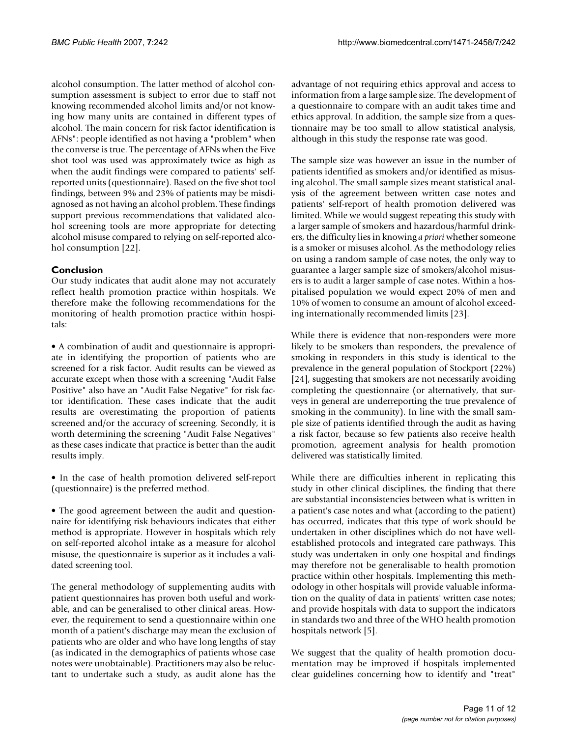alcohol consumption. The latter method of alcohol consumption assessment is subject to error due to staff not knowing recommended alcohol limits and/or not knowing how many units are contained in different types of alcohol. The main concern for risk factor identification is AFNs": people identified as not having a "problem" when the converse is true. The percentage of AFNs when the Five shot tool was used was approximately twice as high as when the audit findings were compared to patients' selfreported units (questionnaire). Based on the five shot tool findings, between 9% and 23% of patients may be misdiagnosed as not having an alcohol problem. These findings support previous recommendations that validated alcohol screening tools are more appropriate for detecting alcohol misuse compared to relying on self-reported alcohol consumption [22].

# **Conclusion**

Our study indicates that audit alone may not accurately reflect health promotion practice within hospitals. We therefore make the following recommendations for the monitoring of health promotion practice within hospitals:

• A combination of audit and questionnaire is appropriate in identifying the proportion of patients who are screened for a risk factor. Audit results can be viewed as accurate except when those with a screening "Audit False Positive" also have an "Audit False Negative" for risk factor identification. These cases indicate that the audit results are overestimating the proportion of patients screened and/or the accuracy of screening. Secondly, it is worth determining the screening "Audit False Negatives" as these cases indicate that practice is better than the audit results imply.

• In the case of health promotion delivered self-report (questionnaire) is the preferred method.

• The good agreement between the audit and questionnaire for identifying risk behaviours indicates that either method is appropriate. However in hospitals which rely on self-reported alcohol intake as a measure for alcohol misuse, the questionnaire is superior as it includes a validated screening tool.

The general methodology of supplementing audits with patient questionnaires has proven both useful and workable, and can be generalised to other clinical areas. However, the requirement to send a questionnaire within one month of a patient's discharge may mean the exclusion of patients who are older and who have long lengths of stay (as indicated in the demographics of patients whose case notes were unobtainable). Practitioners may also be reluctant to undertake such a study, as audit alone has the advantage of not requiring ethics approval and access to information from a large sample size. The development of a questionnaire to compare with an audit takes time and ethics approval. In addition, the sample size from a questionnaire may be too small to allow statistical analysis, although in this study the response rate was good.

The sample size was however an issue in the number of patients identified as smokers and/or identified as misusing alcohol. The small sample sizes meant statistical analysis of the agreement between written case notes and patients' self-report of health promotion delivered was limited. While we would suggest repeating this study with a larger sample of smokers and hazardous/harmful drinkers, the difficulty lies in knowing *a priori* whether someone is a smoker or misuses alcohol. As the methodology relies on using a random sample of case notes, the only way to guarantee a larger sample size of smokers/alcohol misusers is to audit a larger sample of case notes. Within a hospitalised population we would expect 20% of men and 10% of women to consume an amount of alcohol exceeding internationally recommended limits [23].

While there is evidence that non-responders were more likely to be smokers than responders, the prevalence of smoking in responders in this study is identical to the prevalence in the general population of Stockport (22%) [24], suggesting that smokers are not necessarily avoiding completing the questionnaire (or alternatively, that surveys in general are underreporting the true prevalence of smoking in the community). In line with the small sample size of patients identified through the audit as having a risk factor, because so few patients also receive health promotion, agreement analysis for health promotion delivered was statistically limited.

While there are difficulties inherent in replicating this study in other clinical disciplines, the finding that there are substantial inconsistencies between what is written in a patient's case notes and what (according to the patient) has occurred, indicates that this type of work should be undertaken in other disciplines which do not have wellestablished protocols and integrated care pathways. This study was undertaken in only one hospital and findings may therefore not be generalisable to health promotion practice within other hospitals. Implementing this methodology in other hospitals will provide valuable information on the quality of data in patients' written case notes; and provide hospitals with data to support the indicators in standards two and three of the WHO health promotion hospitals network [5].

We suggest that the quality of health promotion documentation may be improved if hospitals implemented clear guidelines concerning how to identify and "treat"